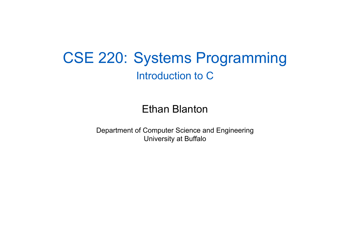### CSE 220: Systems Programming Introduction to C

### Ethan Blanton

Department of Computer Science and Engineering University at Buffalo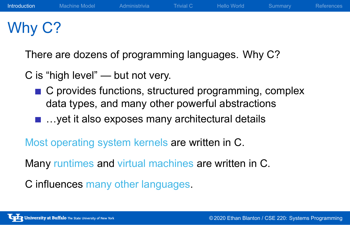# Why C?

There are dozens of programming languages. Why C?

C is "high level" — but not very.

- C provides functions, structured programming, complex data types, and many other powerful abstractions
- …yet it also exposes many architectural details

Most operating system kernels are written in C.

Many runtimes and virtual machines are written in C.

C influences many other languages.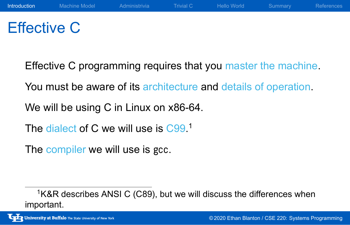# Effective C

Effective C programming requires that you master the machine.

You must be aware of its architecture and details of operation.

We will be using C in Linux on x86-64.

The dialect of C we will use is C99.<sup>1</sup>

The compiler we will use is gcc.

<sup>&</sup>lt;sup>1</sup>K&R describes ANSI C (C89), but we will discuss the differences when important.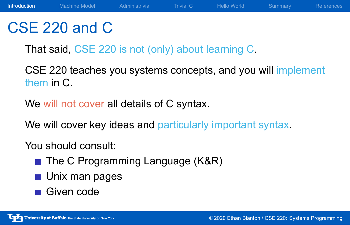### CSE 220 and C

That said, CSE 220 is not (only) about learning C.

CSE 220 teaches you systems concepts, and you will implement them in C.

We will not cover all details of C syntax.

We will cover key ideas and particularly important syntax.

You should consult:

- The C Programming Language (K&R)
- **Unix man pages**
- Given code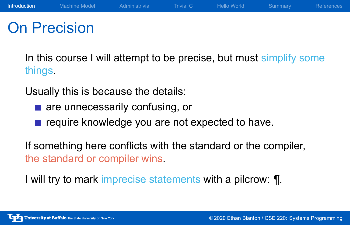### On Precision

In this course I will attempt to be precise, but must simplify some things.

Usually this is because the details:

- are unnecessarily confusing, or
- require knowledge you are not expected to have.

If something here conflicts with the standard or the compiler, the standard or compiler wins.

I will try to mark imprecise statements with a pilcrow: ¶.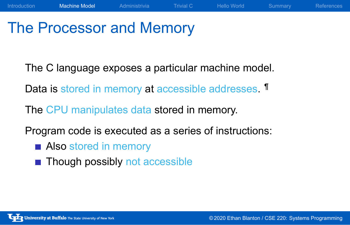### The Processor and Memory

The C language exposes a particular machine model.

Data is stored in memory at accessible addresses. If

The CPU manipulates data stored in memory.

Program code is executed as a series of instructions:

- **Also stored in memory**
- **Though possibly not accessible**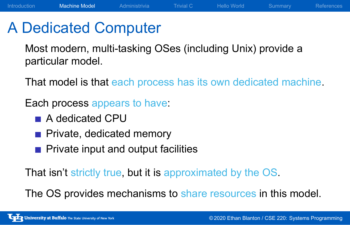### A Dedicated Computer

Most modern, multi-tasking OSes (including Unix) provide a particular model.

That model is that each process has its own dedicated machine.

Each process appears to have:

- A dedicated CPU
- Private, dedicated memory
- **Private input and output facilities**

That isn't strictly true, but it is approximated by the OS.

The OS provides mechanisms to share resources in this model.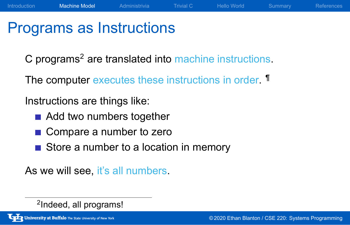# Programs as Instructions

C programs<sup>2</sup> are translated into machine instructions.

The computer executes these instructions in order. **T** 

Instructions are things like:

- Add two numbers together
- Compare a number to zero
- Store a number to a location in memory

As we will see, it's all numbers.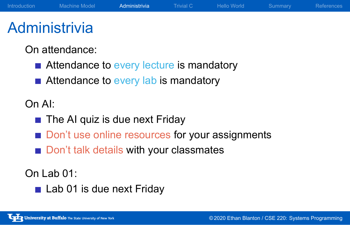### **Administrivia**

On attendance:

- Attendance to every lecture is mandatory
- Attendance to every lab is mandatory

### On AI:

- The AI quiz is due next Friday
- Don't use online resources for your assignments
- Don't talk details with your classmates

### On Lab 01:

Lab 01 is due next Friday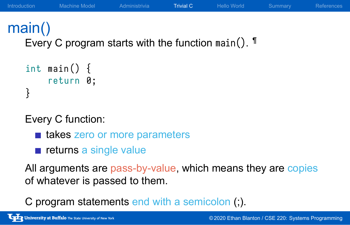# main()

Every C program starts with the function main(). ¶

```
int main() \{return 0;
}
```
Every C function:

- takes zero or more parameters
- $\blacksquare$  returns a single value

All arguments are pass-by-value, which means they are copies of whatever is passed to them.

C program statements end with a semicolon (;).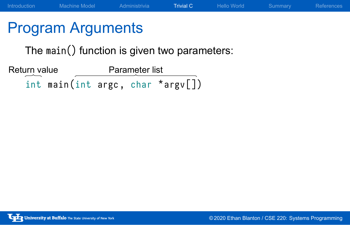# Program Arguments

The main() function is given two parameters:

 $int$  main (int argc, char \*argv[]) Return value Parameter list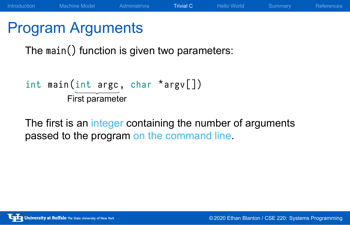# Program Arguments

The main() function is given two parameters:

```
int main (int argc, char *argv[])
        First parameter
```
The first is an integer containing the number of arguments passed to the program on the command line.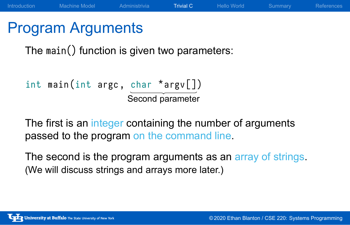### Program Arguments

The main() function is given two parameters:

```
int main (int argc, char *argv[])
                    Second parameter
```
The first is an integer containing the number of arguments passed to the program on the command line.

The second is the program arguments as an array of strings. (We will discuss strings and arrays more later.)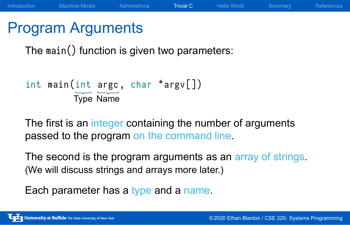### Program Arguments

The main() function is given two parameters:

```
int main (int argc, char *argv[])
         Type Name
```
The first is an integer containing the number of arguments passed to the program on the command line.

The second is the program arguments as an array of strings. (We will discuss strings and arrays more later.)

Each parameter has a type and a name.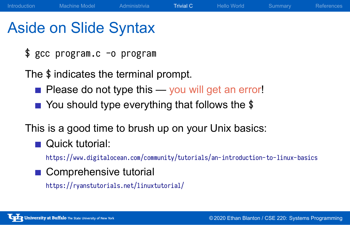### Aside on Slide Syntax

\$ gcc program.c -o program

The \$ indicates the terminal prompt.

- Please do not type this you will get an error!
- You should type everything that follows the \$

This is a good time to brush up on your Unix basics:

**Quick tutorial:** 

https://www.digitalocean.com/community/tutorials/an-introduction-to-linux-basics

Comprehensive tutorial https://ryanstutorials.net/linuxtutorial/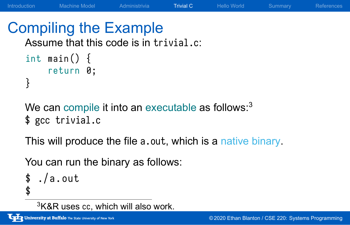### Compiling the Example

Assume that this code is in trivial.c:

```
int main() \{return 0;
}
```
We can compile it into an executable as follows:<sup>3</sup> \$ gcc trivial.c

This will produce the file a.out, which is a native binary.

You can run the binary as follows:

```
$./a.out$
```
 $3$ K&R uses cc, which will also work.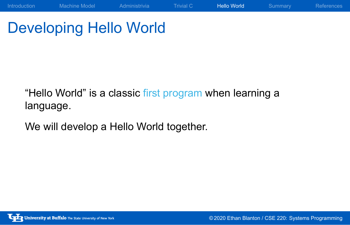# Developing Hello World

"Hello World" is a classic first program when learning a language.

We will develop a Hello World together.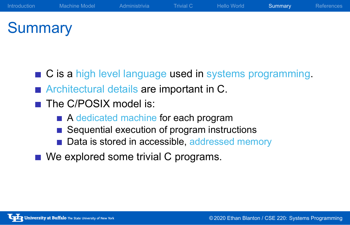### **Summary**

- C is a high level language used in systems programming.
- **Architectural details are important in C.**
- The C/POSIX model is:
	- A dedicated machine for each program
	- Sequential execution of program instructions
	- Data is stored in accessible, addressed memory
- We explored some trivial C programs.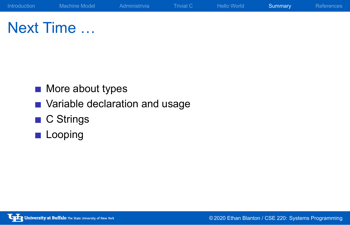Next Time …

- **More about types**
- Variable declaration and usage
- C Strings
- **Looping**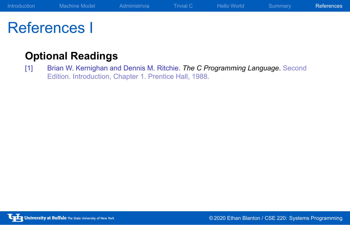# References I

### **Optional Readings**

[1] Brian W. Kernighan and Dennis M. Ritchie. *The C Programming Language*. Second Edition. Introduction, Chapter 1. Prentice Hall, 1988.